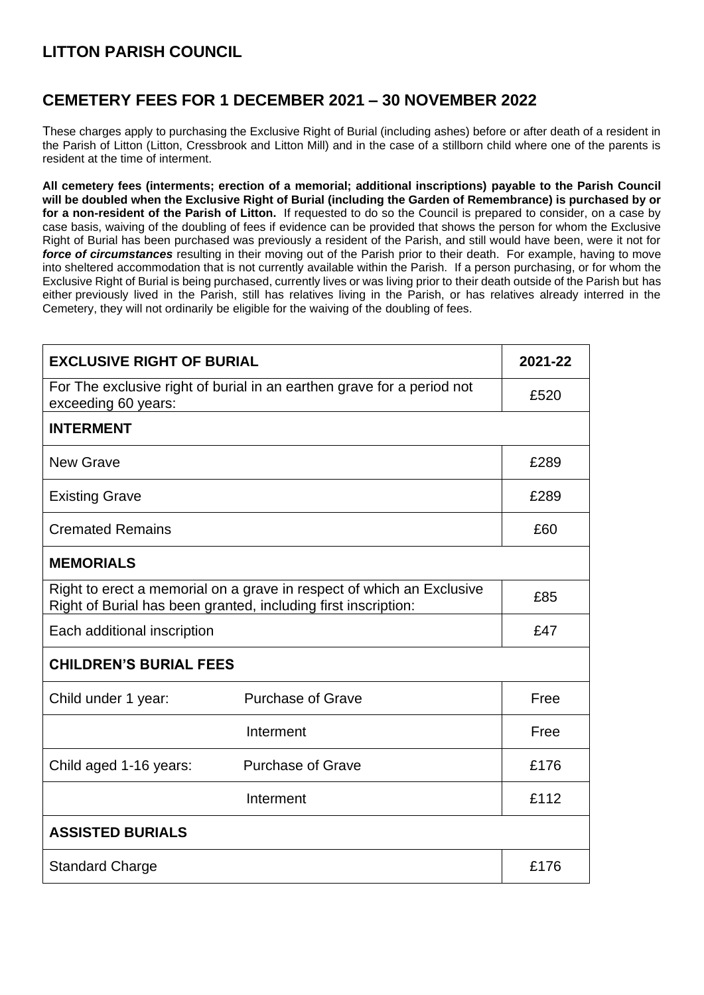## **LITTON PARISH COUNCIL**

## **CEMETERY FEES FOR 1 DECEMBER 2021 – 30 NOVEMBER 2022**

These charges apply to purchasing the Exclusive Right of Burial (including ashes) before or after death of a resident in the Parish of Litton (Litton, Cressbrook and Litton Mill) and in the case of a stillborn child where one of the parents is resident at the time of interment.

**All cemetery fees (interments; erection of a memorial; additional inscriptions) payable to the Parish Council will be doubled when the Exclusive Right of Burial (including the Garden of Remembrance) is purchased by or for a non-resident of the Parish of Litton.** If requested to do so the Council is prepared to consider, on a case by case basis, waiving of the doubling of fees if evidence can be provided that shows the person for whom the Exclusive Right of Burial has been purchased was previously a resident of the Parish, and still would have been, were it not for *force of circumstances* resulting in their moving out of the Parish prior to their death. For example, having to move into sheltered accommodation that is not currently available within the Parish. If a person purchasing, or for whom the Exclusive Right of Burial is being purchased, currently lives or was living prior to their death outside of the Parish but has either previously lived in the Parish, still has relatives living in the Parish, or has relatives already interred in the Cemetery, they will not ordinarily be eligible for the waiving of the doubling of fees.

| <b>EXCLUSIVE RIGHT OF BURIAL</b>                                                                                                        |                          | 2021-22 |
|-----------------------------------------------------------------------------------------------------------------------------------------|--------------------------|---------|
| For The exclusive right of burial in an earthen grave for a period not<br>exceeding 60 years:                                           |                          | £520    |
| <b>INTERMENT</b>                                                                                                                        |                          |         |
| <b>New Grave</b>                                                                                                                        |                          | £289    |
| <b>Existing Grave</b>                                                                                                                   |                          | £289    |
| <b>Cremated Remains</b>                                                                                                                 |                          | £60     |
| <b>MEMORIALS</b>                                                                                                                        |                          |         |
| Right to erect a memorial on a grave in respect of which an Exclusive<br>Right of Burial has been granted, including first inscription: |                          | £85     |
| Each additional inscription                                                                                                             |                          | £47     |
| <b>CHILDREN'S BURIAL FEES</b>                                                                                                           |                          |         |
| Child under 1 year:                                                                                                                     | <b>Purchase of Grave</b> | Free    |
|                                                                                                                                         | Interment                | Free    |
| Child aged 1-16 years:                                                                                                                  | <b>Purchase of Grave</b> | £176    |
|                                                                                                                                         | Interment                | £112    |
| <b>ASSISTED BURIALS</b>                                                                                                                 |                          |         |
| <b>Standard Charge</b>                                                                                                                  |                          | £176    |